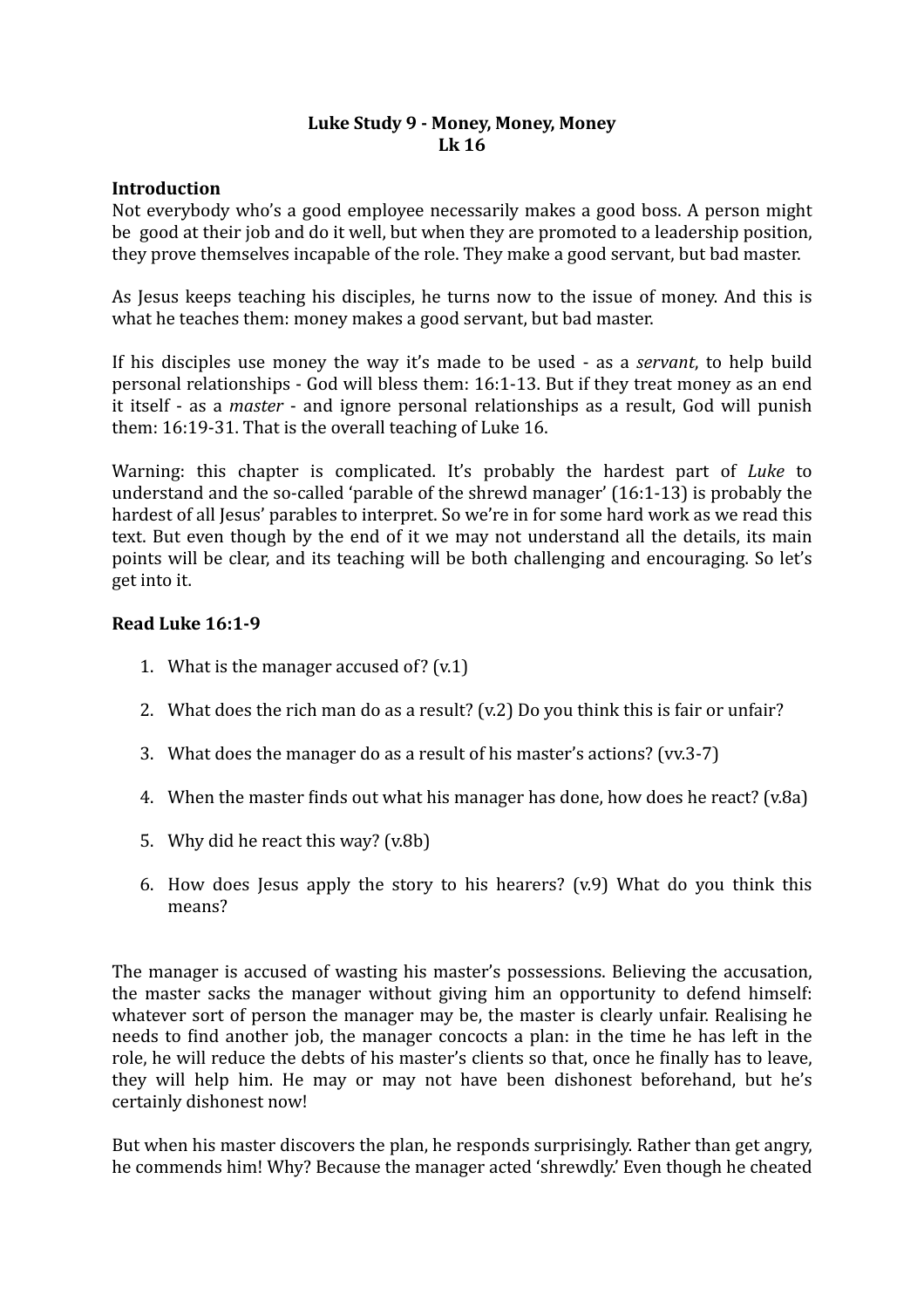# Luke Study 9 - Money, Money, Money **Lk 16**

#### **Introduction**

Not everybody who's a good employee necessarily makes a good boss. A person might be good at their job and do it well, but when they are promoted to a leadership position, they prove themselves incapable of the role. They make a good servant, but bad master.

As Jesus keeps teaching his disciples, he turns now to the issue of money. And this is what he teaches them: money makes a good servant, but bad master.

If his disciples use money the way it's made to be used - as a *servant*, to help build personal relationships - God will bless them:  $16:1-13$ . But if they treat money as an end it itself - as a *master* - and ignore personal relationships as a result, God will punish them:  $16:19-31$ . That is the overall teaching of Luke 16.

Warning: this chapter is complicated. It's probably the hardest part of *Luke* to understand and the so-called 'parable of the shrewd manager'  $(16:1-13)$  is probably the hardest of all Jesus' parables to interpret. So we're in for some hard work as we read this text. But even though by the end of it we may not understand all the details, its main points will be clear, and its teaching will be both challenging and encouraging. So let's get into it.

# **Read Luke 16:1-9**

- 1. What is the manager accused of?  $(v.1)$
- 2. What does the rich man do as a result?  $(v.2)$  Do you think this is fair or unfair?
- 3. What does the manager do as a result of his master's actions? (vv.3-7)
- 4. When the master finds out what his manager has done, how does he react? (v.8a)
- 5. Why did he react this way? (v.8b)
- 6. How does Jesus apply the story to his hearers?  $(v.9)$  What do you think this means?

The manager is accused of wasting his master's possessions. Believing the accusation, the master sacks the manager without giving him an opportunity to defend himself: whatever sort of person the manager may be, the master is clearly unfair. Realising he needs to find another job, the manager concocts a plan: in the time he has left in the role, he will reduce the debts of his master's clients so that, once he finally has to leave, they will help him. He may or may not have been dishonest beforehand, but he's certainly dishonest now!

But when his master discovers the plan, he responds surprisingly. Rather than get angry, he commends him! Why? Because the manager acted 'shrewdly.' Even though he cheated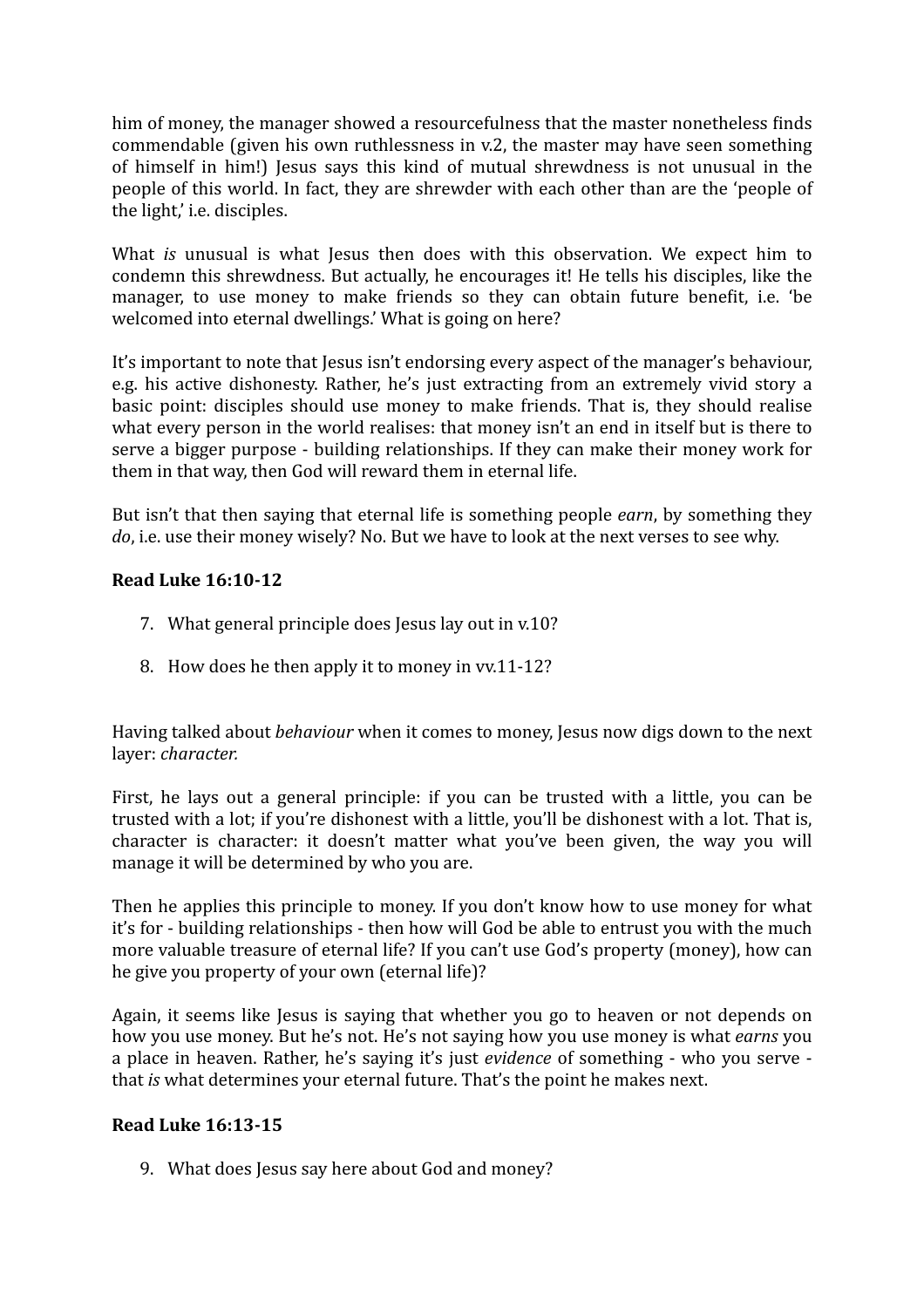him of money, the manager showed a resourcefulness that the master nonetheless finds commendable (given his own ruthlessness in  $v.2$ , the master may have seen something of himself in him!) Jesus says this kind of mutual shrewdness is not unusual in the people of this world. In fact, they are shrewder with each other than are the 'people of the light,' i.e. disciples.

What *is* unusual is what Jesus then does with this observation. We expect him to condemn this shrewdness. But actually, he encourages it! He tells his disciples, like the manager, to use money to make friends so they can obtain future benefit, i.e. 'be welcomed into eternal dwellings.' What is going on here?

It's important to note that Jesus isn't endorsing every aspect of the manager's behaviour, e.g. his active dishonesty. Rather, he's just extracting from an extremely vivid story a basic point: disciples should use money to make friends. That is, they should realise what every person in the world realises: that money isn't an end in itself but is there to serve a bigger purpose - building relationships. If they can make their money work for them in that way, then God will reward them in eternal life.

But isn't that then saying that eternal life is something people *earn*, by something they *do*, i.e. use their money wisely? No. But we have to look at the next verses to see why.

# **Read Luke 16:10-12**

- 7. What general principle does Jesus lay out in v.10?
- 8. How does he then apply it to money in vv.11-12?

Having talked about *behaviour* when it comes to money, Jesus now digs down to the next layer: *character.* 

First, he lays out a general principle: if you can be trusted with a little, you can be trusted with a lot; if you're dishonest with a little, you'll be dishonest with a lot. That is, character is character: it doesn't matter what you've been given, the way you will manage it will be determined by who you are.

Then he applies this principle to money. If you don't know how to use money for what it's for - building relationships - then how will God be able to entrust you with the much more valuable treasure of eternal life? If you can't use God's property (money), how can he give you property of your own (eternal life)?

Again, it seems like Jesus is saying that whether you go to heaven or not depends on how you use money. But he's not. He's not saying how you use money is what *earns* you a place in heaven. Rather, he's saying it's just *evidence* of something - who you serve that *is* what determines your eternal future. That's the point he makes next.

# **Read Luke 16:13-15**

9. What does Jesus say here about God and money?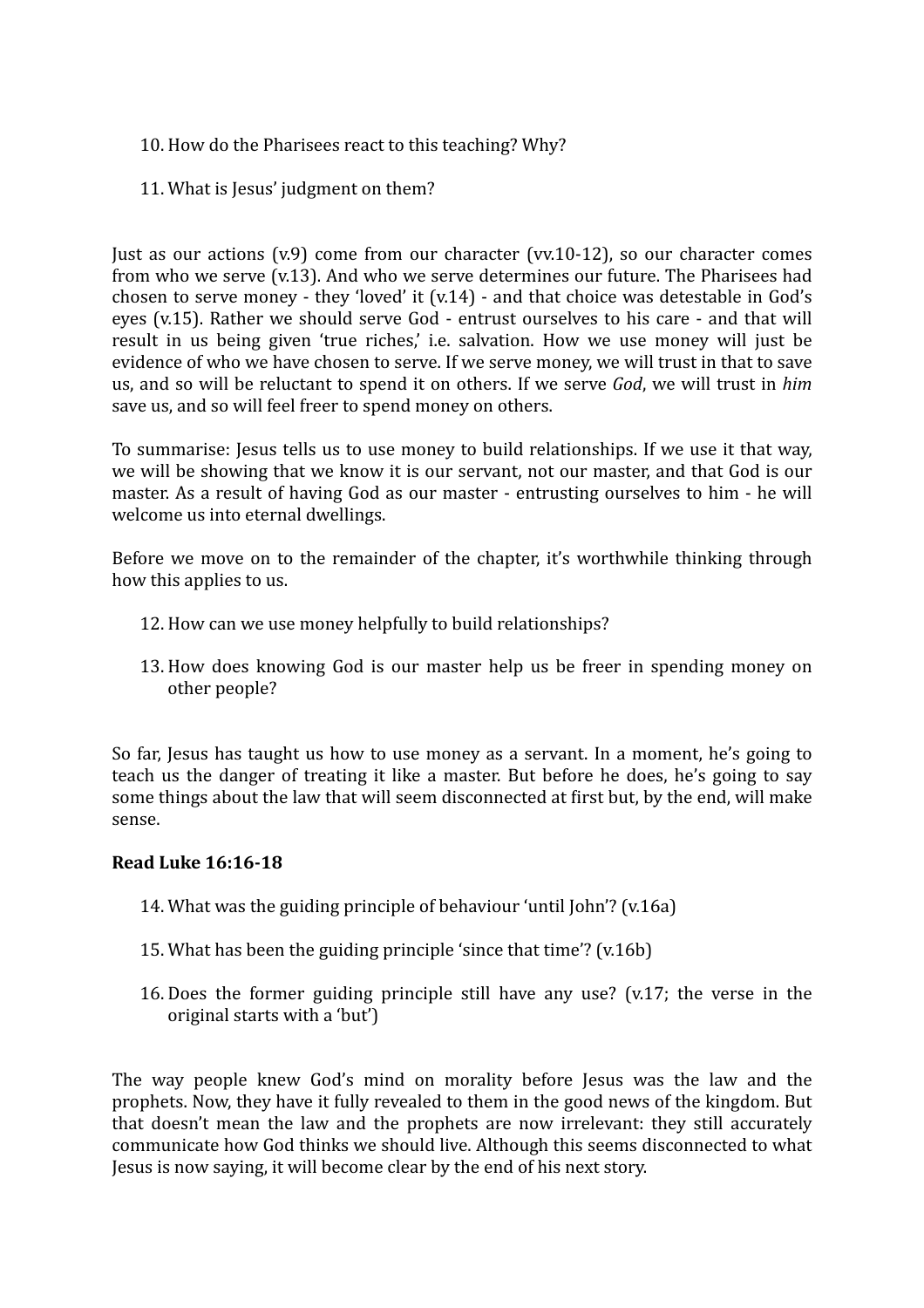# 10. How do the Pharisees react to this teaching? Why?

11. What is Jesus' judgment on them?

Just as our actions  $(v.9)$  come from our character  $(vv.10-12)$ , so our character comes from who we serve (v.13). And who we serve determines our future. The Pharisees had chosen to serve money - they 'loved' it  $(v.14)$  - and that choice was detestable in God's eyes (v.15). Rather we should serve God - entrust ourselves to his care - and that will result in us being given 'true riches,' i.e. salvation. How we use money will just be evidence of who we have chosen to serve. If we serve money, we will trust in that to save us, and so will be reluctant to spend it on others. If we serve *God*, we will trust in *him* save us, and so will feel freer to spend money on others.

To summarise: Jesus tells us to use money to build relationships. If we use it that way, we will be showing that we know it is our servant, not our master, and that God is our master. As a result of having God as our master - entrusting ourselves to him - he will welcome us into eternal dwellings.

Before we move on to the remainder of the chapter, it's worthwhile thinking through how this applies to us.

- 12. How can we use money helpfully to build relationships?
- 13. How does knowing God is our master help us be freer in spending money on other people?

So far, Jesus has taught us how to use money as a servant. In a moment, he's going to teach us the danger of treating it like a master. But before he does, he's going to say some things about the law that will seem disconnected at first but, by the end, will make sense.

#### **Read Luke 16:16-18**

- 14. What was the guiding principle of behaviour 'until  $John$ '? (v.16a)
- 15. What has been the guiding principle 'since that time'?  $(v.16b)$
- 16. Does the former guiding principle still have any use? (v.17; the verse in the original starts with a 'but')

The way people knew God's mind on morality before lesus was the law and the prophets. Now, they have it fully revealed to them in the good news of the kingdom. But that doesn't mean the law and the prophets are now irrelevant: they still accurately communicate how God thinks we should live. Although this seems disconnected to what Jesus is now saying, it will become clear by the end of his next story.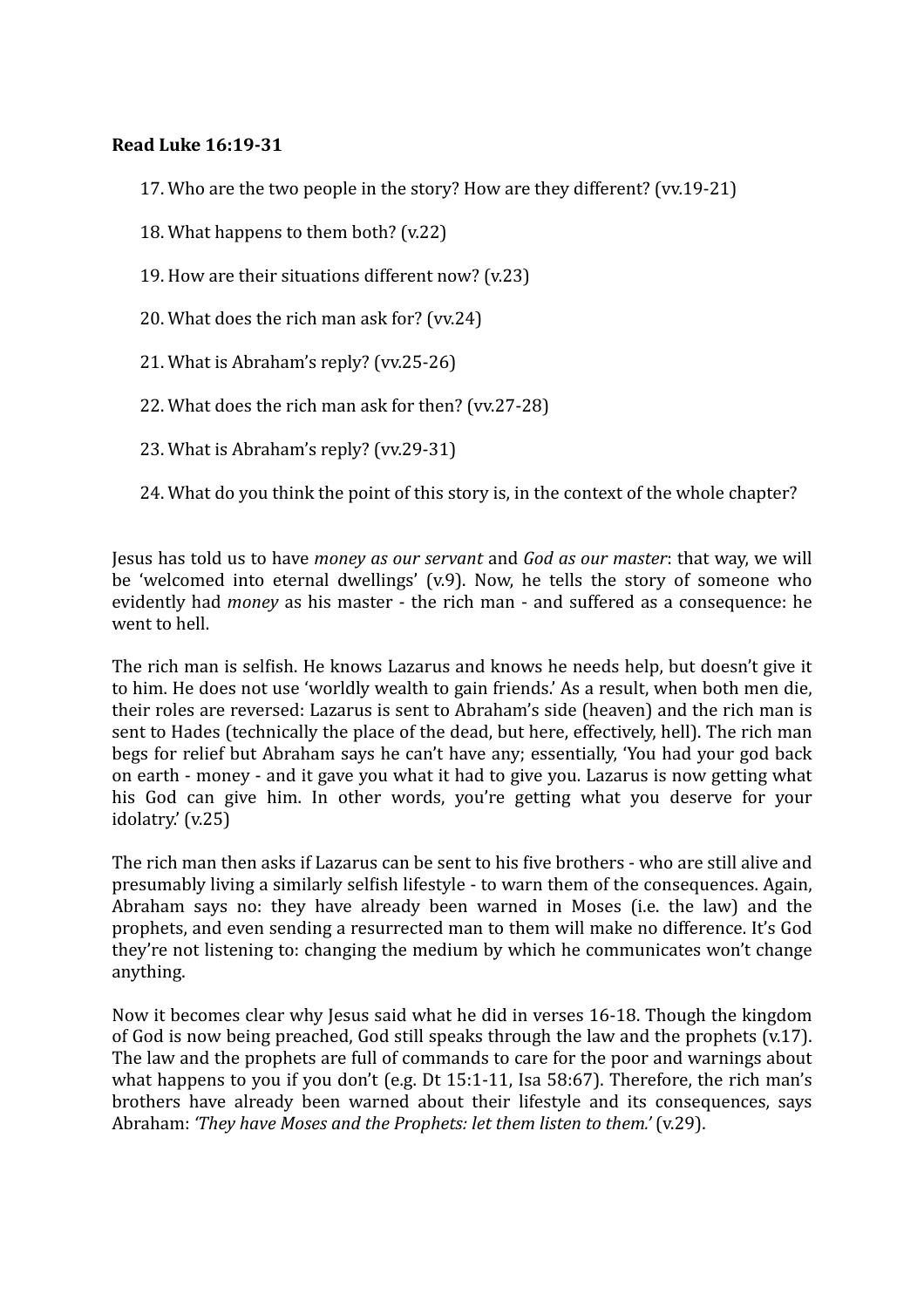# **Read Luke 16:19-31**

- 17. Who are the two people in the story? How are they different? (vv.19-21)
- 18. What happens to them both?  $(v.22)$
- 19. How are their situations different now?  $(v.23)$
- 20. What does the rich man ask for? (vv.24)
- 21. What is Abraham's reply?  $(vv.25-26)$
- 22. What does the rich man ask for then? (vv.27-28)
- 23. What is Abraham's reply?  $(vv.29-31)$
- 24. What do you think the point of this story is, in the context of the whole chapter?

Jesus has told us to have *money as our servant* and *God as our master*: that way, we will be 'welcomed into eternal dwellings'  $(v.9)$ . Now, he tells the story of someone who evidently had *money* as his master - the rich man - and suffered as a consequence: he went to hell.

The rich man is selfish. He knows Lazarus and knows he needs help, but doesn't give it to him. He does not use 'worldly wealth to gain friends.' As a result, when both men die, their roles are reversed: Lazarus is sent to Abraham's side (heaven) and the rich man is sent to Hades (technically the place of the dead, but here, effectively, hell). The rich man begs for relief but Abraham says he can't have any; essentially, 'You had your god back on earth - money - and it gave you what it had to give you. Lazarus is now getting what his God can give him. In other words, you're getting what you deserve for your idolatry.'  $(v.25)$ 

The rich man then asks if Lazarus can be sent to his five brothers - who are still alive and presumably living a similarly selfish lifestyle - to warn them of the consequences. Again, Abraham says no: they have already been warned in Moses (i.e. the law) and the prophets, and even sending a resurrected man to them will make no difference. It's God they're not listening to: changing the medium by which he communicates won't change anything. 

Now it becomes clear why lesus said what he did in verses 16-18. Though the kingdom of God is now being preached, God still speaks through the law and the prophets  $(v,17)$ . The law and the prophets are full of commands to care for the poor and warnings about what happens to you if you don't  $(e.g.$  Dt  $15:1-11$ . Isa  $58:67$ ). Therefore, the rich man's brothers have already been warned about their lifestyle and its consequences, says Abraham: *'They have Moses and the Prophets: let them listen to them.'* (v.29).